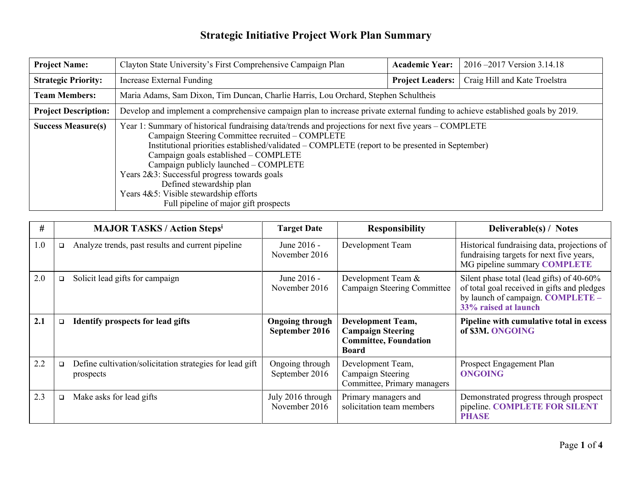| <b>Project Name:</b>        | Clayton State University's First Comprehensive Campaign Plan                                                                                                                                                                                                                                                                                                                                                                                                                                                 | <b>Academic Year:</b>   | 2016–2017 Version 3.14.18     |  |  |
|-----------------------------|--------------------------------------------------------------------------------------------------------------------------------------------------------------------------------------------------------------------------------------------------------------------------------------------------------------------------------------------------------------------------------------------------------------------------------------------------------------------------------------------------------------|-------------------------|-------------------------------|--|--|
| <b>Strategic Priority:</b>  | Increase External Funding                                                                                                                                                                                                                                                                                                                                                                                                                                                                                    | <b>Project Leaders:</b> | Craig Hill and Kate Troelstra |  |  |
| <b>Team Members:</b>        | Maria Adams, Sam Dixon, Tim Duncan, Charlie Harris, Lou Orchard, Stephen Schultheis                                                                                                                                                                                                                                                                                                                                                                                                                          |                         |                               |  |  |
| <b>Project Description:</b> | Develop and implement a comprehensive campaign plan to increase private external funding to achieve established goals by 2019.                                                                                                                                                                                                                                                                                                                                                                               |                         |                               |  |  |
| <b>Success Measure(s)</b>   | Year 1: Summary of historical fundraising data/trends and projections for next five years – COMPLETE<br>Campaign Steering Committee recruited – COMPLETE<br>Institutional priorities established/validated – COMPLETE (report to be presented in September)<br>Campaign goals established - COMPLETE<br>Campaign publicly launched - COMPLETE<br>Years 2&3: Successful progress towards goals<br>Defined stewardship plan<br>Years 4&5: Visible stewardship efforts<br>Full pipeline of major gift prospects |                         |                               |  |  |

| #   |        | <b>MAJOR TASKS / Action Stepsi</b>                                    | <b>Target Date</b>                       | <b>Responsibility</b>                                                                                | <b>Deliverable(s)</b> / Notes                                                                                                                         |
|-----|--------|-----------------------------------------------------------------------|------------------------------------------|------------------------------------------------------------------------------------------------------|-------------------------------------------------------------------------------------------------------------------------------------------------------|
| 1.0 | $\Box$ | Analyze trends, past results and current pipeline                     | June 2016 -<br>November 2016             | Development Team                                                                                     | Historical fundraising data, projections of<br>fundraising targets for next five years,<br>MG pipeline summary COMPLETE                               |
| 2.0 | $\Box$ | Solicit lead gifts for campaign                                       | June 2016 -<br>November 2016             | Development Team &<br>Campaign Steering Committee                                                    | Silent phase total (lead gifts) of 40-60%<br>of total goal received in gifts and pledges<br>by launch of campaign. COMPLETE -<br>33% raised at launch |
| 2.1 | O.     | <b>Identify prospects for lead gifts</b>                              | <b>Ongoing through</b><br>September 2016 | <b>Development Team,</b><br><b>Campaign Steering</b><br><b>Committee, Foundation</b><br><b>Board</b> | Pipeline with cumulative total in excess<br>of \$3M. ONGOING                                                                                          |
| 2.2 | $\Box$ | Define cultivation/solicitation strategies for lead gift<br>prospects | Ongoing through<br>September 2016        | Development Team,<br>Campaign Steering<br>Committee, Primary managers                                | Prospect Engagement Plan<br><b>ONGOING</b>                                                                                                            |
| 2.3 | O.     | Make asks for lead gifts                                              | July 2016 through<br>November 2016       | Primary managers and<br>solicitation team members                                                    | Demonstrated progress through prospect<br>pipeline. COMPLETE FOR SILENT<br><b>PHASE</b>                                                               |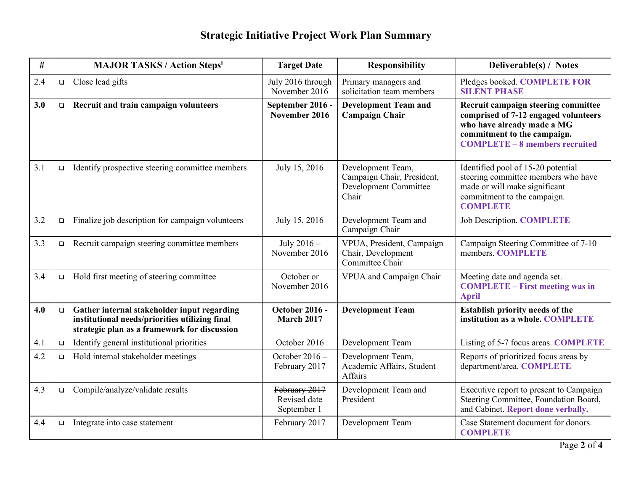| $\#$ |        | <b>MAJOR TASKS / Action Stepsi</b>                                                                                                            | <b>Target Date</b>                           | <b>Responsibility</b>                                                                    | Deliverable(s) / Notes                                                                                                                                                            |
|------|--------|-----------------------------------------------------------------------------------------------------------------------------------------------|----------------------------------------------|------------------------------------------------------------------------------------------|-----------------------------------------------------------------------------------------------------------------------------------------------------------------------------------|
| 2.4  | $\Box$ | Close lead gifts                                                                                                                              | July 2016 through<br>November 2016           | Primary managers and<br>solicitation team members                                        | Pledges booked. COMPLETE FOR<br><b>SILENT PHASE</b>                                                                                                                               |
| 3.0  | $\Box$ | Recruit and train campaign volunteers                                                                                                         | September 2016 -<br>November 2016            | <b>Development Team and</b><br><b>Campaign Chair</b>                                     | Recruit campaign steering committee<br>comprised of 7-12 engaged volunteers<br>who have already made a MG<br>commitment to the campaign.<br><b>COMPLETE - 8 members recruited</b> |
| 3.1  | $\Box$ | Identify prospective steering committee members                                                                                               | July 15, 2016                                | Development Team,<br>Campaign Chair, President,<br><b>Development Committee</b><br>Chair | Identified pool of 15-20 potential<br>steering committee members who have<br>made or will make significant<br>commitment to the campaign.<br><b>COMPLETE</b>                      |
| 3.2  | $\Box$ | Finalize job description for campaign volunteers                                                                                              | July 15, 2016                                | Development Team and<br>Campaign Chair                                                   | <b>Job Description. COMPLETE</b>                                                                                                                                                  |
| 3.3  | $\Box$ | Recruit campaign steering committee members                                                                                                   | July 2016 -<br>November 2016                 | VPUA, President, Campaign<br>Chair, Development<br>Committee Chair                       | Campaign Steering Committee of 7-10<br>members. COMPLETE                                                                                                                          |
| 3.4  | $\Box$ | Hold first meeting of steering committee                                                                                                      | October or<br>November 2016                  | VPUA and Campaign Chair                                                                  | Meeting date and agenda set.<br><b>COMPLETE – First meeting was in</b><br><b>April</b>                                                                                            |
| 4.0  | $\Box$ | Gather internal stakeholder input regarding<br>institutional needs/priorities utilizing final<br>strategic plan as a framework for discussion | <b>October 2016 -</b><br><b>March 2017</b>   | <b>Development Team</b>                                                                  | Establish priority needs of the<br>institution as a whole. COMPLETE                                                                                                               |
| 4.1  | $\Box$ | Identify general institutional priorities                                                                                                     | October 2016                                 | Development Team                                                                         | Listing of 5-7 focus areas. COMPLETE                                                                                                                                              |
| 4.2  | $\Box$ | Hold internal stakeholder meetings                                                                                                            | October $2016 -$<br>February 2017            | Development Team,<br>Academic Affairs, Student<br>Affairs                                | Reports of prioritized focus areas by<br>department/area. COMPLETE                                                                                                                |
| 4.3  | O.     | Compile/analyze/validate results                                                                                                              | February 2017<br>Revised date<br>September 1 | Development Team and<br>President                                                        | Executive report to present to Campaign<br>Steering Committee, Foundation Board,<br>and Cabinet. Report done verbally.                                                            |
| 4.4  | $\Box$ | Integrate into case statement                                                                                                                 | February 2017                                | Development Team                                                                         | Case Statement document for donors.<br><b>COMPLETE</b>                                                                                                                            |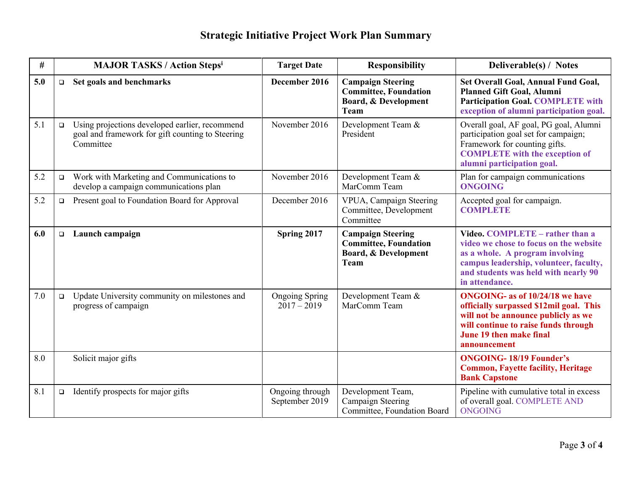| #   | <b>MAJOR TASKS / Action Stepsi</b> |                                                                                                                 | <b>Target Date</b>                     | <b>Responsibility</b>                                                                    | Deliverable(s) / Notes                                                                                                                                                                                             |
|-----|------------------------------------|-----------------------------------------------------------------------------------------------------------------|----------------------------------------|------------------------------------------------------------------------------------------|--------------------------------------------------------------------------------------------------------------------------------------------------------------------------------------------------------------------|
| 5.0 | $\Box$                             | Set goals and benchmarks                                                                                        | December 2016                          | <b>Campaign Steering</b><br><b>Committee, Foundation</b><br>Board, & Development<br>Team | Set Overall Goal, Annual Fund Goal,<br>Planned Gift Goal, Alumni<br><b>Participation Goal. COMPLETE with</b><br>exception of alumni participation goal.                                                            |
| 5.1 | $\Box$                             | Using projections developed earlier, recommend<br>goal and framework for gift counting to Steering<br>Committee | November 2016                          | Development Team &<br>President                                                          | Overall goal, AF goal, PG goal, Alumni<br>participation goal set for campaign;<br>Framework for counting gifts.<br><b>COMPLETE</b> with the exception of<br>alumni participation goal.                             |
| 5.2 | $\Box$                             | Work with Marketing and Communications to<br>develop a campaign communications plan                             | November 2016                          | Development Team &<br>MarComm Team                                                       | Plan for campaign communications<br><b>ONGOING</b>                                                                                                                                                                 |
| 5.2 | $\Box$                             | Present goal to Foundation Board for Approval                                                                   | December 2016                          | VPUA, Campaign Steering<br>Committee, Development<br>Committee                           | Accepted goal for campaign.<br><b>COMPLETE</b>                                                                                                                                                                     |
| 6.0 | $\Box$                             | Launch campaign                                                                                                 | Spring 2017                            | <b>Campaign Steering</b><br><b>Committee, Foundation</b><br>Board, & Development<br>Team | Video. COMPLETE - rather than a<br>video we chose to focus on the website<br>as a whole. A program involving<br>campus leadership, volunteer, faculty,<br>and students was held with nearly 90<br>in attendance.   |
| 7.0 | $\Box$                             | Update University community on milestones and<br>progress of campaign                                           | <b>Ongoing Spring</b><br>$2017 - 2019$ | Development Team &<br>MarComm Team                                                       | <b>ONGOING-</b> as of 10/24/18 we have<br>officially surpassed \$12mil goal. This<br>will not be announce publicly as we<br>will continue to raise funds through<br><b>June 19 then make final</b><br>announcement |
| 8.0 |                                    | Solicit major gifts                                                                                             |                                        |                                                                                          | <b>ONGOING-18/19 Founder's</b><br><b>Common, Fayette facility, Heritage</b><br><b>Bank Capstone</b>                                                                                                                |
| 8.1 | $\Box$                             | Identify prospects for major gifts                                                                              | Ongoing through<br>September 2019      | Development Team,<br>Campaign Steering<br>Committee, Foundation Board                    | Pipeline with cumulative total in excess<br>of overall goal. COMPLETE AND<br><b>ONGOING</b>                                                                                                                        |